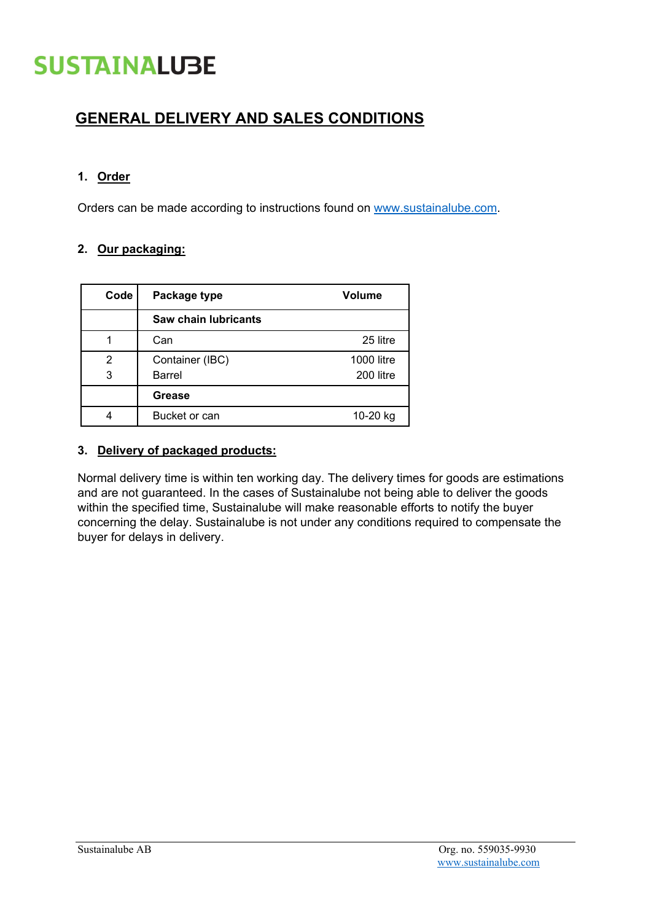# **SUSTAINALUBE**

### **GENERAL DELIVERY AND SALES CONDITIONS**

#### **1. Order**

Orders can be made according to instructions found on [www.sustainalube.com.](http://www.sustainalube.com/)

#### **2. Our packaging:**

| Code | Package type         | <b>Volume</b>     |
|------|----------------------|-------------------|
|      | Saw chain lubricants |                   |
|      | Can                  | 25 litre          |
| 2    | Container (IBC)      | <b>1000 litre</b> |
| 3    | Barrel               | 200 litre         |
|      | Grease               |                   |
|      | Bucket or can        | 10-20 kg          |

#### **3. Delivery of packaged products:**

Normal delivery time is within ten working day. The delivery times for goods are estimations and are not guaranteed. In the cases of Sustainalube not being able to deliver the goods within the specified time, Sustainalube will make reasonable efforts to notify the buyer concerning the delay. Sustainalube is not under any conditions required to compensate the buyer for delays in delivery.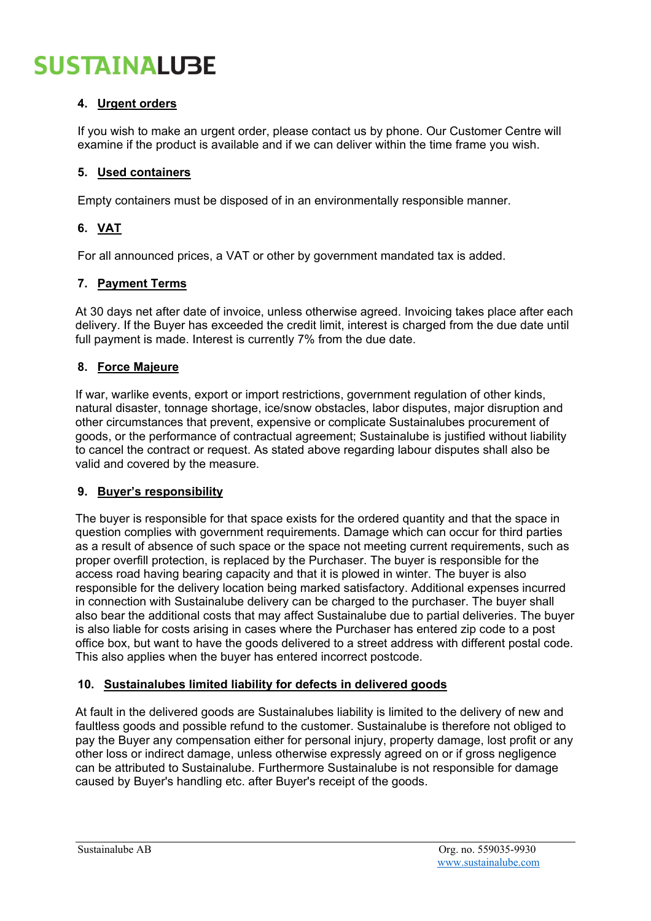# **SUSTAINALUBE**

#### **4. Urgent orders**

If you wish to make an urgent order, please contact us by phone. Our Customer Centre will examine if the product is available and if we can deliver within the time frame you wish.

#### **5. Used containers**

Empty containers must be disposed of in an environmentally responsible manner.

#### **6. VAT**

For all announced prices, a VAT or other by government mandated tax is added.

#### **7. Payment Terms**

At 30 days net after date of invoice, unless otherwise agreed. Invoicing takes place after each delivery. If the Buyer has exceeded the credit limit, interest is charged from the due date until full payment is made. Interest is currently 7% from the due date.

#### **8. Force Majeure**

If war, warlike events, export or import restrictions, government regulation of other kinds, natural disaster, tonnage shortage, ice/snow obstacles, labor disputes, major disruption and other circumstances that prevent, expensive or complicate Sustainalubes procurement of goods, or the performance of contractual agreement; Sustainalube is justified without liability to cancel the contract or request. As stated above regarding labour disputes shall also be valid and covered by the measure.

#### **9. Buyer's responsibility**

The buyer is responsible for that space exists for the ordered quantity and that the space in question complies with government requirements. Damage which can occur for third parties as a result of absence of such space or the space not meeting current requirements, such as proper overfill protection, is replaced by the Purchaser. The buyer is responsible for the access road having bearing capacity and that it is plowed in winter. The buyer is also responsible for the delivery location being marked satisfactory. Additional expenses incurred in connection with Sustainalube delivery can be charged to the purchaser. The buyer shall also bear the additional costs that may affect Sustainalube due to partial deliveries. The buyer is also liable for costs arising in cases where the Purchaser has entered zip code to a post office box, but want to have the goods delivered to a street address with different postal code. This also applies when the buyer has entered incorrect postcode.

#### **10. Sustainalubes limited liability for defects in delivered goods**

At fault in the delivered goods are Sustainalubes liability is limited to the delivery of new and faultless goods and possible refund to the customer. Sustainalube is therefore not obliged to pay the Buyer any compensation either for personal injury, property damage, lost profit or any other loss or indirect damage, unless otherwise expressly agreed on or if gross negligence can be attributed to Sustainalube. Furthermore Sustainalube is not responsible for damage caused by Buyer's handling etc. after Buyer's receipt of the goods.